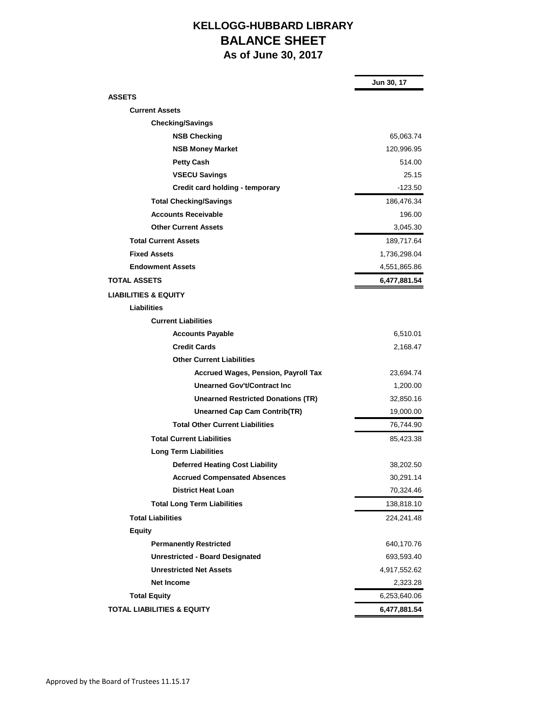## **KELLOGG-HUBBARD LIBRARY BALANCE SHEET As of June 30, 2017**

|                                            | Jun 30, 17   |
|--------------------------------------------|--------------|
| <b>ASSETS</b>                              |              |
| <b>Current Assets</b>                      |              |
| <b>Checking/Savings</b>                    |              |
| <b>NSB Checking</b>                        | 65,063.74    |
| <b>NSB Money Market</b>                    | 120,996.95   |
| <b>Petty Cash</b>                          | 514.00       |
| <b>VSECU Savings</b>                       | 25.15        |
| Credit card holding - temporary            | $-123.50$    |
| <b>Total Checking/Savings</b>              | 186,476.34   |
| <b>Accounts Receivable</b>                 | 196.00       |
| <b>Other Current Assets</b>                | 3,045.30     |
| <b>Total Current Assets</b>                | 189,717.64   |
| <b>Fixed Assets</b>                        | 1,736,298.04 |
| <b>Endowment Assets</b>                    | 4,551,865.86 |
| <b>TOTAL ASSETS</b>                        | 6,477,881.54 |
| <b>LIABILITIES &amp; EQUITY</b>            |              |
| Liabilities                                |              |
| <b>Current Liabilities</b>                 |              |
| <b>Accounts Payable</b>                    | 6,510.01     |
| <b>Credit Cards</b>                        | 2,168.47     |
| <b>Other Current Liabilities</b>           |              |
| <b>Accrued Wages, Pension, Payroll Tax</b> | 23,694.74    |
| Unearned Gov't/Contract Inc                | 1,200.00     |
| <b>Unearned Restricted Donations (TR)</b>  | 32,850.16    |
| <b>Unearned Cap Cam Contrib(TR)</b>        | 19,000.00    |
| <b>Total Other Current Liabilities</b>     | 76,744.90    |
| <b>Total Current Liabilities</b>           | 85,423.38    |
| <b>Long Term Liabilities</b>               |              |
| <b>Deferred Heating Cost Liability</b>     | 38,202.50    |
| <b>Accrued Compensated Absences</b>        | 30,291.14    |
| <b>District Heat Loan</b>                  | 70,324.46    |
| <b>Total Long Term Liabilities</b>         | 138,818.10   |
| <b>Total Liabilities</b>                   | 224,241.48   |
| <b>Equity</b>                              |              |
| <b>Permanently Restricted</b>              | 640,170.76   |
| <b>Unrestricted - Board Designated</b>     | 693,593.40   |
| <b>Unrestricted Net Assets</b>             | 4,917,552.62 |
| <b>Net Income</b>                          | 2,323.28     |
| <b>Total Equity</b>                        | 6,253,640.06 |
| <b>TOTAL LIABILITIES &amp; EQUITY</b>      | 6,477,881.54 |